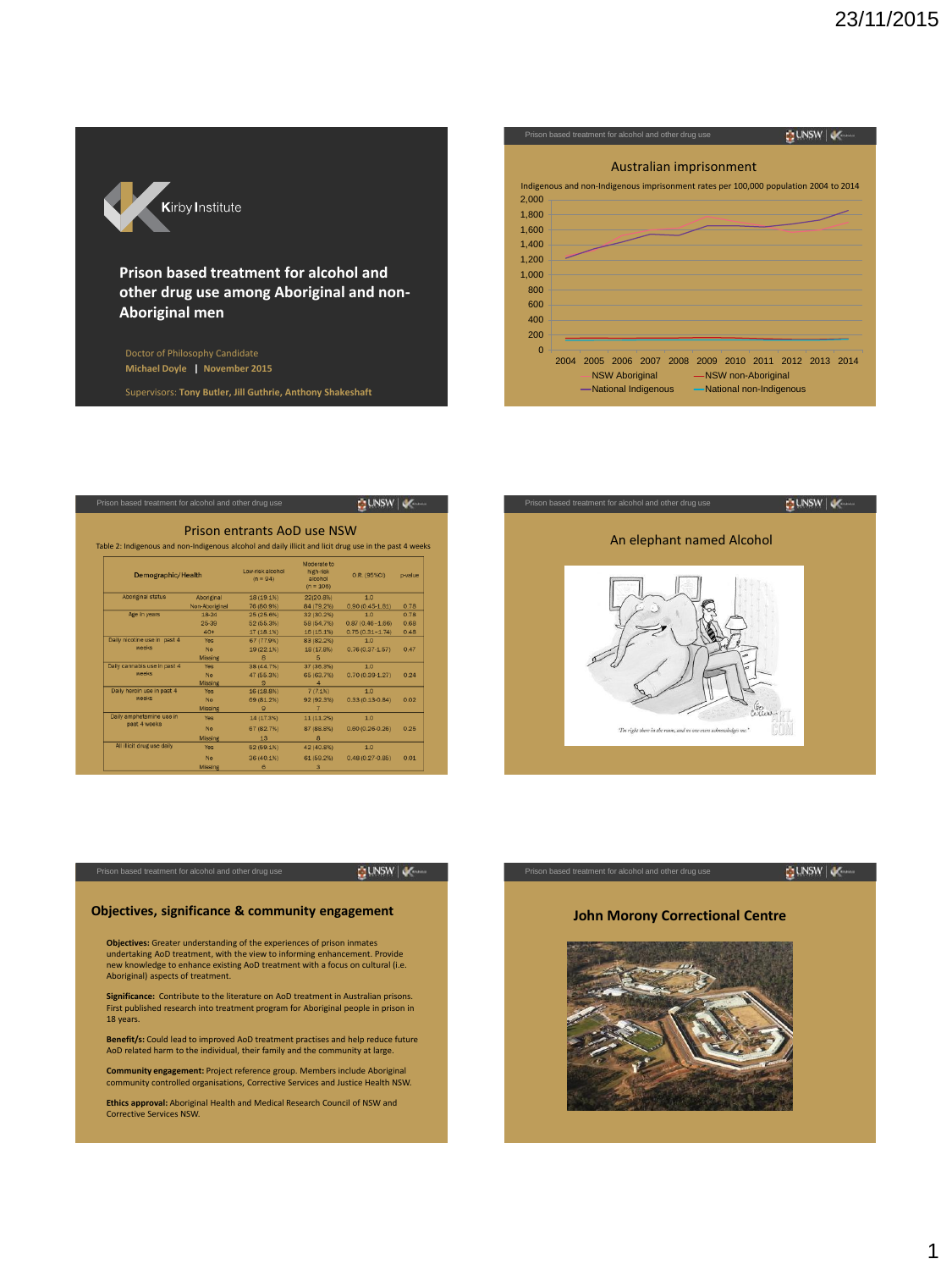

# **Prison based treatment for alcohol and other drug use among Aboriginal and non-Aboriginal men**

Doctor of Philosophy Candidate **Michael Doyle | November 2015**

Supervisors: **Tony Butler, Jill Guthrie, Anthony Shakeshaft** 2

| Prison based treatment for alcohol and other drug use |      |      |                                                                                               |  |  |  |                     |  |                          |  |
|-------------------------------------------------------|------|------|-----------------------------------------------------------------------------------------------|--|--|--|---------------------|--|--------------------------|--|
|                                                       |      |      | Australian imprisonment                                                                       |  |  |  |                     |  |                          |  |
|                                                       |      |      | Indigenous and non-Indigenous imprisonment rates per 100,000 population 2004 to 2014          |  |  |  |                     |  |                          |  |
| 2,000                                                 |      |      |                                                                                               |  |  |  |                     |  |                          |  |
| 1,800                                                 |      |      |                                                                                               |  |  |  |                     |  |                          |  |
| 1,600                                                 |      |      |                                                                                               |  |  |  |                     |  |                          |  |
| 1,400                                                 |      |      |                                                                                               |  |  |  |                     |  |                          |  |
| 1,200                                                 |      |      |                                                                                               |  |  |  |                     |  |                          |  |
| 1,000                                                 |      |      |                                                                                               |  |  |  |                     |  |                          |  |
| 800                                                   |      |      |                                                                                               |  |  |  |                     |  |                          |  |
| 600                                                   |      |      |                                                                                               |  |  |  |                     |  |                          |  |
| 400                                                   |      |      |                                                                                               |  |  |  |                     |  |                          |  |
| 200                                                   |      |      |                                                                                               |  |  |  |                     |  |                          |  |
| $\Omega$                                              |      |      |                                                                                               |  |  |  |                     |  |                          |  |
|                                                       | 2004 | 2005 | 2006 2007 2008 2009 2010 2011 2012 2013 2014<br><b>NSW Aboriginal</b><br>-National Indigenous |  |  |  | -NSW non-Aboriginal |  | -National non-Indigenous |  |

| Table 2: Indigenous and non-Indigenous alcohol and daily illicit and licit drug use in the past 4 weeks |                | Prison entrants AoD use NSW    |                                                    |                     |         |  |
|---------------------------------------------------------------------------------------------------------|----------------|--------------------------------|----------------------------------------------------|---------------------|---------|--|
| Demographic/Health                                                                                      |                | Low-risk alcohol<br>$(n = 94)$ | Moderate to<br>high-risk<br>alcohol<br>$(n = 106)$ | O.R. (95%CI)        | p-value |  |
| Aboriginal status                                                                                       | Aboriginal     | 18 (19.1%)                     | 22(20.8%)                                          | 1.0                 |         |  |
|                                                                                                         | Non-Aboriginal | 76 (80.9%)                     | 84 (79.2%)                                         | $0.90(0.45 - 1.81)$ | 0.78    |  |
| Age in years                                                                                            | 18-24          | 25 (25.6%)                     | 32 (30.2%)                                         | 1.0                 | 0.78    |  |
|                                                                                                         | 25-39          | 52 (55.3%)                     | 58 (54.7%)                                         | $0.87(0.46 - 1.66)$ | 0.68    |  |
|                                                                                                         | $40+$          | 17 (18.1%)                     | 16(15.1%)                                          | $0.75(0.31 - 1.74)$ | 0.48    |  |
| Daily nicotine use in past 4                                                                            | <b>Yes</b>     | 67 (77.9%)                     | 83 (82.2%)                                         | 1.0                 |         |  |
| weeks                                                                                                   | <b>No</b>      | 19 (22.1%)                     | 18 (17.8%)                                         | $0.76(0.37 - 1.57)$ | 0.47    |  |
|                                                                                                         | <b>Missing</b> | 8                              | 5                                                  |                     |         |  |
| Daily cannabis use in past 4                                                                            | Yes            | 38 (44.7%)                     | 37 (36.3%)                                         | 1.0                 |         |  |
| weeks                                                                                                   | <b>No</b>      | 47 (55.3%)                     | 65 (63.7%)                                         | $0.70(0.39 - 1.27)$ | 0.24    |  |
|                                                                                                         | <b>Missing</b> | $\mathbf{9}$                   | 4                                                  |                     |         |  |
| Daily heroin use in past 4                                                                              | <b>Yes</b>     | 16 (18.8%)                     | 7(7.1%)                                            | 1.0                 |         |  |
| weeks                                                                                                   | <b>No</b>      | 69 (81.2%)                     | 92 (92.3%)                                         | $0.33(0.13 - 0.84)$ | 0.02    |  |
|                                                                                                         | Missing        | $\Omega$                       |                                                    |                     |         |  |
| Daily amphetamine use in                                                                                | <b>Yes</b>     | 14 (17.3%)                     | 11(11.2%                                           | 1.0                 |         |  |
| past 4 weeks                                                                                            | <b>No</b>      | 67 (82.7%)                     | 87 (88.8%)                                         | $0.60(0.26 - 0.26)$ | 0.25    |  |
|                                                                                                         | <b>Missing</b> | 13                             | $\mathbf{s}$                                       |                     |         |  |
| All illicit drug use daily                                                                              | <b>Yes</b>     | 52 (59.1%)                     | 42 (40.8%)                                         | 1.0                 |         |  |
|                                                                                                         | No             | 36 (40.1%)                     | 61 (59.2%)                                         | $0.48(0.27 - 0.85)$ | 0.01    |  |
|                                                                                                         |                |                                |                                                    |                     |         |  |



**QUNSW | V** 

# **Objectives, significance & community engagement**

**Objectives:** Greater understanding of the experiences of prison inmates undertaking AoD treatment, with the view to informing enhancement. Provide new knowledge to enhance existing AoD treatment with a focus on cultural (i.e. Aboriginal) aspects of treatment.

**Significance:** Contribute to the literature on AoD treatment in Australian prisons. First published research into treatment program for Aboriginal people in prison in 18 years.

**Benefit/s:** Could lead to improved AoD treatment practises and help reduce future AoD related harm to the individual, their family and the community at large.

**Community engagement:** Project reference group. Members include Aboriginal community controlled organisations, Corrective Services and Justice Health NSW.

**Ethics approval:** Aboriginal Health and Medical Research Council of NSW and Corrective Services NSW.

# **QUNSW | V**

# **John Morony Correctional Centre**

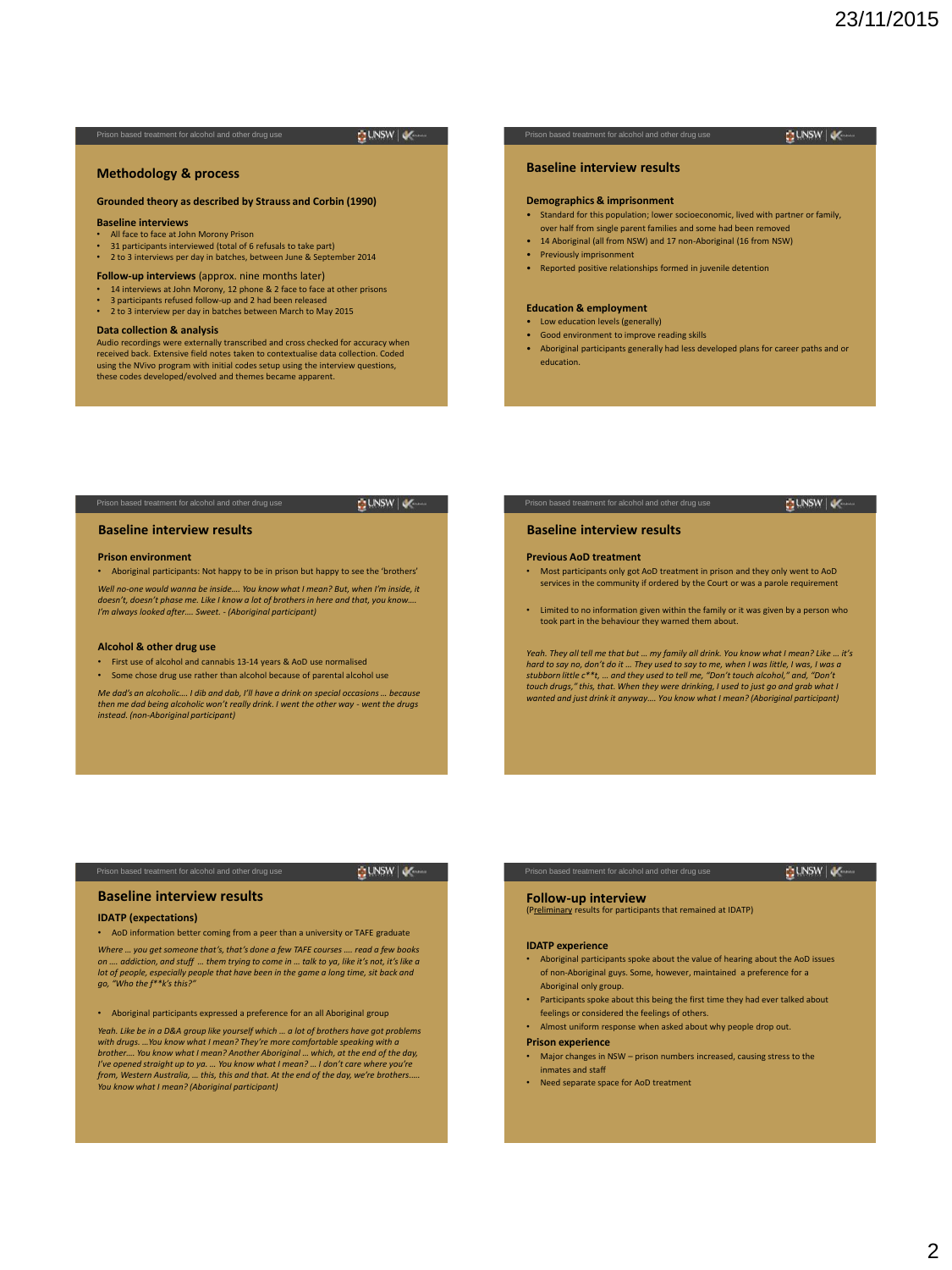**BUNSW** 

# **BUNSW**

## **Methodology & process**

### **Grounded theory as described by Strauss and Corbin (1990)**

# **Baseline interviews**

- All face to face at John Morony Prison 31 participants interviewed (total of 6 refusals to take part)
- 
- 2 to 3 interviews per day in batches, between June & September 2014

### **Follow-up interviews** (approx. nine months later)

- 14 interviews at John Morony, 12 phone & 2 face to face at other prisons
- 3 participants refused follow-up and 2 had been released • 2 to 3 interview per day in batches between March to May 2015
- **Data collection & analysis**

Audio recordings were externally transcribed and cross checked for accuracy when received back. Extensive field notes taken to contextualise data collection. Coded using the NVivo program with initial codes setup using the interview questions, these codes developed/evolved and themes became apparent.

### **Baseline interview results**

#### **Demographics & imprisonment**

- Standard for this population; lower socioeconomic, lived with partner or family, over half from single parent families and some had been remove
- 14 Aboriginal (all from NSW) and 17 non-Aboriginal (16 from NSW)
- Previously imprisonment
- Reported positive relationships formed in juvenile detention

### **Education & employment**

- Low education levels (generally)
- Good environment to improve reading skills
- Aboriginal participants generally had less developed plans for career paths and or education.

#### **BUNSW | JA**

#### **Baseline interview results**

#### **Prison environment**

• Aboriginal participants: Not happy to be in prison but happy to see the 'brothers' *Well no-one would wanna be inside…. You know what I mean? But, when I'm inside, it doesn't, doesn't phase me. Like I know a lot of brothers in here and that, you know…. I'm always looked after…. Sweet. - (Aboriginal participant)*

### **Alcohol & other drug use**

- First use of alcohol and cannabis 13-14 years & AoD use normalised
- Some chose drug use rather than alcohol because of parental alcohol use

*Me dad's an alcoholic…. I dib and dab, I'll have a drink on special occasions … because*<br>then me dad being alcoholic won't really drink. I went the other way - went the drugs *instead. (non-Aboriginal participant)* 

# **UNSW**

### **Baseline interview results**

#### **Previous AoD treatment**

- Most participants only got AoD treatment in prison and they only went to AoD services in the community if ordered by the Court or was a parole requirement
- Limited to no information given within the family or it was given by a person who took part in the behaviour they warned them about.

*Yeah. They all tell me that but … my family all drink. You know what I mean? Like … it's hard to say no, don't do it … They used to say to me, when I was little, I was, I was a stubborn little c\*\*t, … and they used to tell me, "Don't touch alcohol," and, "Don't touch drugs," this, that. When they were drinking, I used to just go and grab what I wanted and just drink it anyway…. You know what I mean? (Aboriginal participant)*

# **BUNSW**

# **Baseline interview results**

### **IDATP (expectations)**

• AoD information better coming from a peer than a university or TAFE graduate

*Where … you get someone that's, that's done a few TAFE courses …. read a few books*  on .... addiction, and stuff ... them trying to come in ... talk to ya, like it's not, it's like a<br>lot of people, especially people that have been in the game a long time, sit back and<br>go, "Who the f\*\*k's this?"

• Aboriginal participants expressed a preference for an all Aboriginal group

*Yeah. Like be in a D&A group like yourself which … a lot of brothers have got problems with drugs. …You know what I mean? They're more comfortable speaking with a brother…. You know what I mean? Another Aboriginal … which, at the end of the day, I've opened straight up to ya. … You know what I mean? … I don't care where you're from, Western Australia, … this, this and that. At the end of the day, we're brothers.…. You know what I mean? (Aboriginal participant)* 

# **DUNSW**

**Follow-up interview**  (Preliminary results for participants that remained at IDATP)

#### **IDATP experience**

- Aboriginal participants spoke about the value of hearing about the AoD issues of non-Aboriginal guys. Some, however, maintained a preference for a Aboriginal only group.
- Participants spoke about this being the first time they had ever talked about feelings or considered the feelings of others.
- Almost uniform response when asked about why people drop out.

#### **Prison experience**

- Major changes in NSW prison numbers increased, causing stress to the inmates and staff
- Need separate space for AoD treatment